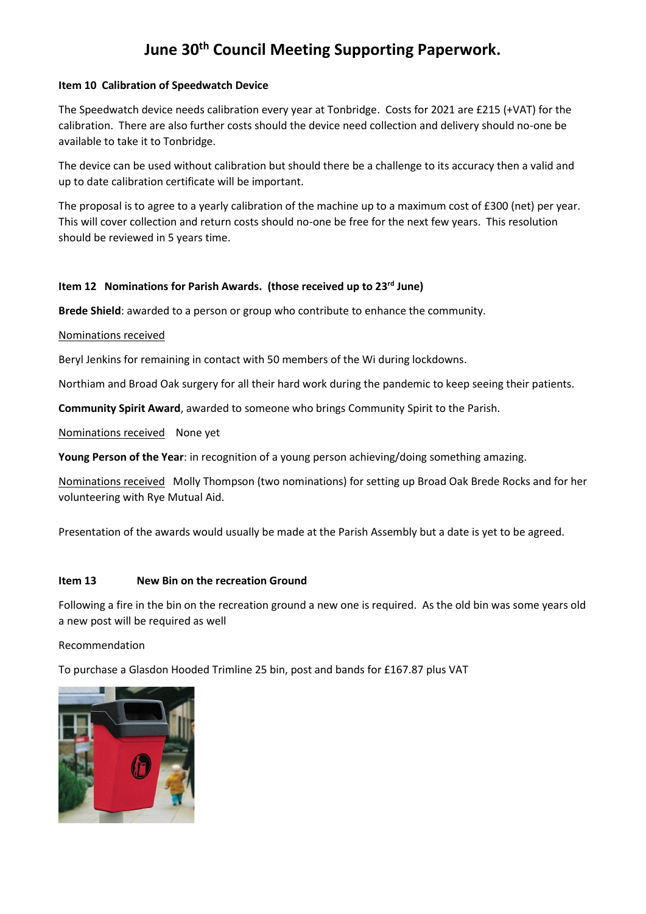# **June 30th Council Meeting Supporting Paperwork.**

### **Item 10 Calibration of Speedwatch Device**

The Speedwatch device needs calibration every year at Tonbridge. Costs for 2021 are £215 (+VAT) for the calibration. There are also further costs should the device need collection and delivery should no-one be available to take it to Tonbridge.

The device can be used without calibration but should there be a challenge to its accuracy then a valid and up to date calibration certificate will be important.

The proposal is to agree to a yearly calibration of the machine up to a maximum cost of £300 (net) per year. This will cover collection and return costs should no-one be free for the next few years. This resolution should be reviewed in 5 years time.

## **Item 12 Nominations for Parish Awards. (those received up to 23rd June)**

**Brede Shield**: awarded to a person or group who contribute to enhance the community.

### Nominations received

Beryl Jenkins for remaining in contact with 50 members of the Wi during lockdowns.

Northiam and Broad Oak surgery for all their hard work during the pandemic to keep seeing their patients.

**Community Spirit Award**, awarded to someone who brings Community Spirit to the Parish.

Nominations received None yet

**Young Person of the Year**: in recognition of a young person achieving/doing something amazing.

Nominations received Molly Thompson (two nominations) for setting up Broad Oak Brede Rocks and for her volunteering with Rye Mutual Aid.

Presentation of the awards would usually be made at the Parish Assembly but a date is yet to be agreed.

#### **Item 13 New Bin on the recreation Ground**

Following a fire in the bin on the recreation ground a new one is required. As the old bin was some years old a new post will be required as well

#### Recommendation

To purchase a Glasdon Hooded Trimline 25 bin, post and bands for £167.87 plus VAT